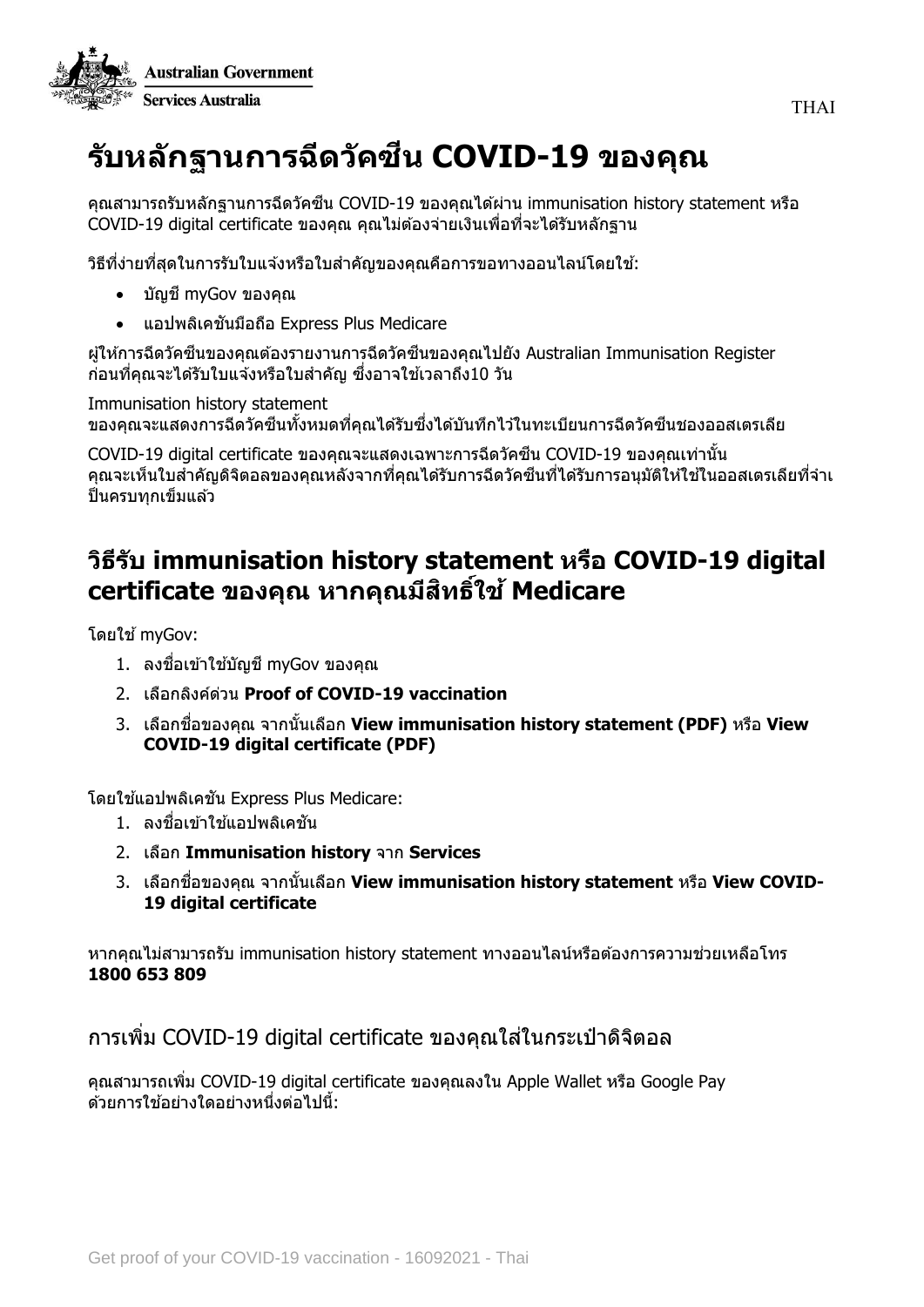

# **รบัหลกัฐานการฉดี วคัซนี COVID-19 ของคุณ**

คุณสามารถรับหลักฐานการฉีดวัคซนี COVID-19 ของคุณได ้ผ่าน immunisation history statement หรือ COVID-19 digital certificate ของคุณ คุณไม่ต้องจ่ายเงินเพื่อที่จะได*้*รับหลักฐาน

วิธีที่ง่ายที่สุดในการรับใบแจ้งหรือใบสำคัญของคณุคือการขอทางออนไลน์โดยใช้:

- บญั ชีmyGov ของคุณ
- $\bullet$  แอปพลิเคชันมือถือ Express Plus Medicare

ผู้ให้การฉีดวัคซีนของคุณต้องรายงานการฉีดวัคซีนของคุณไปยัง Australian Immunisation Register ึก่อนที่คุณจะได้รับใบแจ้งหรือใบสำคัญ ซึ่งอาจใช้เวลาถึง10 วัน

Immunisation history statement ึ่ ของคณุจะแสดงการฉีดวัคซีนทั้งหมดที่คณได้รับซึ่งได้บันทึกไว้ในทะเบียนการฉีดวัคซีนชองออสเตรเลีย

COVID-19 digital certificate ของคณุ จะแสดงเฉพาะการฉีดวัคซนี COVID-19 ของคุณเท่านั้น ้ คุณจะเห็นใบสำคัญดิจิตอลของคุณหลังจากที่คุณได้รับการฉีดวัคซีนที่ได้รับการอนุมัติให้ใช้ในออสเตรเลียที่จำเ ป็นครบทกเข็มแล้ว

## **วิธีรับ immunisation history statement หรือ COVID-19 digital certificate ของคุณ หากคณุ มสีทิ ธใิ์ช้Medicare**

โดยใช้ myGov:

- 1. ลงชื่อเข้าใช้บัณชี myGov ของคุณ
- 2. เลือกลิงค์ด่วน **Proof of COVID-19 vaccination**
- 3. เลอื กชอื่ ของคณุ จากนัน้ เลอื ก **View immunisation history statement (PDF)** หรือ **View COVID-19 digital certificate (PDF)**

โดยใชแ้อปพลเิคชนั Express Plus Medicare:

- 1. ลงชื่อเข้าใช้แอปพลิเคชัน
- 2. เลือก **Immunisation history** จาก **Services**
- 3. เลอื กชอื่ ของคณุ จากนัน้ เลอื ก **View immunisation history statement** หรือ **View COVID-19 digital certificate**

หากคุณไม่สามารถรับ immunisation history statement ทางออนไลน์หรือต้องการความช่วยเหลือโทร **1800 653 809**

การเพิ่ม COVID-19 digital certificate ของคณุ ใสใ่ นกระเป๋าดิจิตอล

คุณสามารถเพิ่ม COVID-19 digital certificate ของคุณลงใน Apple Wallet หรือ Google Pay ้ ด้วยการใช้อย่างใดอย่างหนึ่งต่อไปนี้: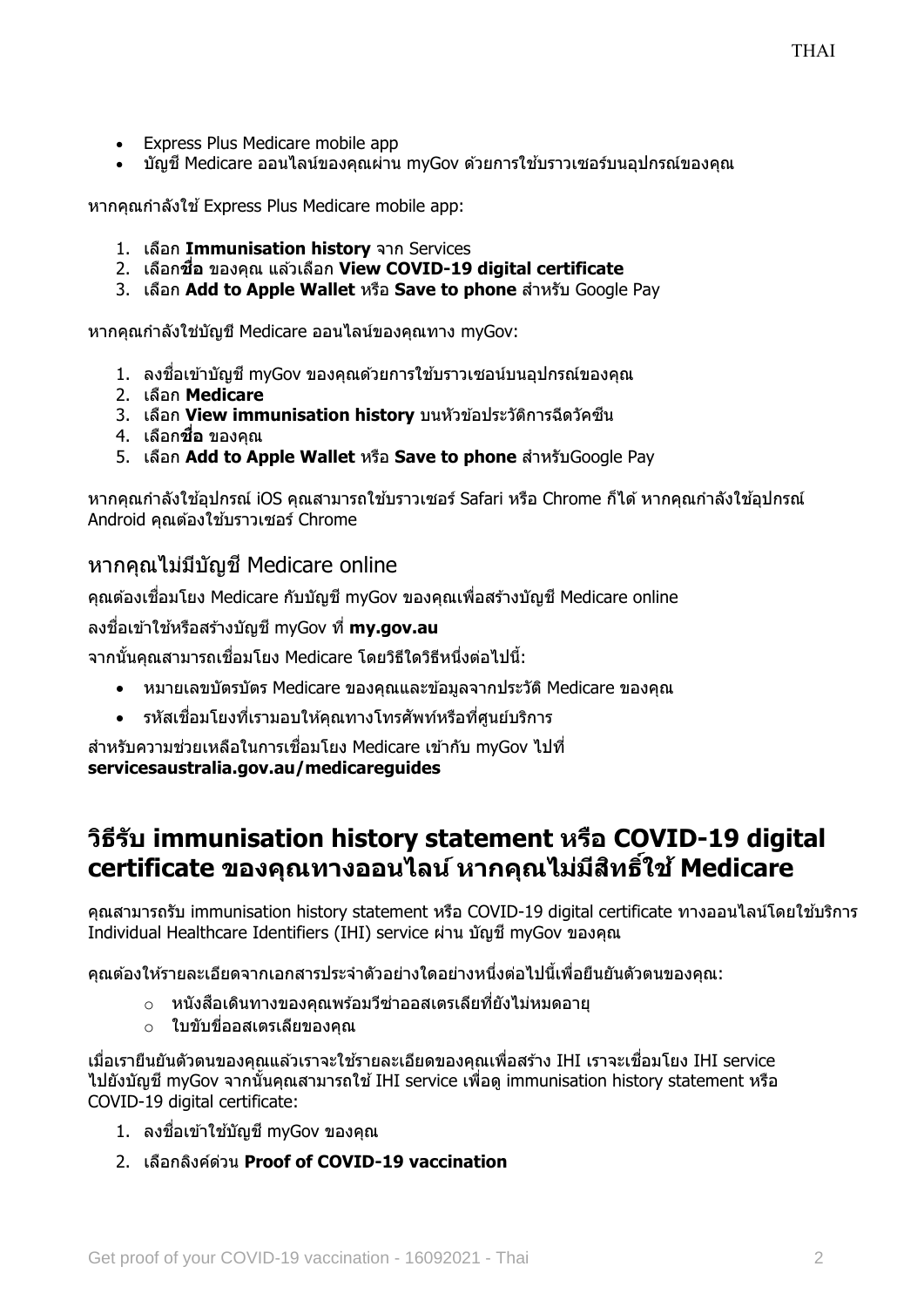- Express Plus Medicare mobile app
- บัญชี Medicare ออนไลน์ของคุณผ่าน myGov ด้วยการใช้บราวเซอร์บนอปุกรณ์ของคุณ

หากคณกำลังใช้ Express Plus Medicare mobile app:

- 1. เลือก **Immunisation history** จาก Services
- 2. เลือก**ชอื่** ของคุณ แล ้วเลือก **View COVID-19 digital certificate**
- 3. เลือก **Add to Apple Wallet** หรือ **Save to phone** ส าหรับ Google Pay

หากคณุกำลังใช่บัญชี Medicare ออนไลน์ของคุณทาง mvGov:

- 1. ลงชื่อเข้าบัญชี myGov ของคณุด้วยการใช้บราวเซอน์บนอปกรณ์ของคณ
- 2. เลือก **Medicare**
- 3. เลือก **View immunisation history** บนหัวขอ้ประวัตกิ ารฉีดวัคซนี
- 4. เลือก**ชอื่** ของคุณ
- 5. เลือก **Add to Apple Wallet** หรือ **Save to phone** ส าหรับGoogle Pay

หากคุณกำลังใช้อุปกรณ์ iOS คุณสามารถใช้บราวเซอร์ Safari หรือ Chrome ก็ได้ หากคุณกำลังใช้อุปกรณ์ Android คณต้องใช้บราวเซอร์ Chrome

#### หากคุณไม่มีบัญชี Medicare online

คุณต้องเชื่อมโยง Medicare กับบัญชี myGov ของคุณเพื่อสร้างบัญชี Medicare online

ลงชอื่ เขา้ใชห้ รอื สรา้งบญั ชีmyGov ที่ **my.gov.au**

ี จากนั้นคณสามารถเชื่อมโยง Medicare โดยวิธีใดวิธีหนึ่งต่อไปนี้:

- หมายเลขบัตรบัตร Medicare ของคุณและข ้อมูลจากประวัติ Medicare ของคุณ
- ้ รหัสเชื่อมโยงที่เรามอบให้คุณทางโทรศัพท์หรือที่ศูนย์บริการ

ี สำหรับความช่วยเหลือในการเชื่อมโยง Medicare เข้ากับ mvGov ไปที่ **servicesaustralia.gov.au/medicareguides**

## **วิธีรับ immunisation history statement หรือ COVID-19 digital certificate ของคุณทางออนไลน์หากคณุ ไมม่ สีทิ ธใิ์ช้Medicare**

คุณสามารถรับ immunisation history statement หรือ COVID-19 digital certificate ทางออนไลน์โดยใช้บริการ Individual Healthcare Identifiers (IHI) service ผ่าน บัญชี myGov ของคุณ

ิคุณต้องให้รายละเอียดจากเอกสารประจำตัวอย่างใดอย่างหนึ่งต่อไปนี้เพื่อยืนยันตัวตนของคุณ:

- $\,\circ\quad$  หนังสือเดินทางของคุณพร้อมวีซ่าออสเตรเลียที่ยังไม่หมดอายุ
- $\circ$  ใบขับขี่ออสเตรเลียของคณ

ู้ เมื่อเรายืนยันตัวตนของคุณแล้วเราจะใช้รายละเอียดของคุณเพื่อสร้าง IHI เราจะเชื่อมโยง IHI service ไปยังบัญชีmyGov จากนัน้ คณุ สามารถใช ้IHI service เพื่อดู immunisation history statement หรือ COVID-19 digital certificate:

- ี่ 1. ลงชื่อเข้าใช้บัญชี mvGov ของคุณ
- 2. เลือกลิงค์ด่วน **Proof of COVID-19 vaccination**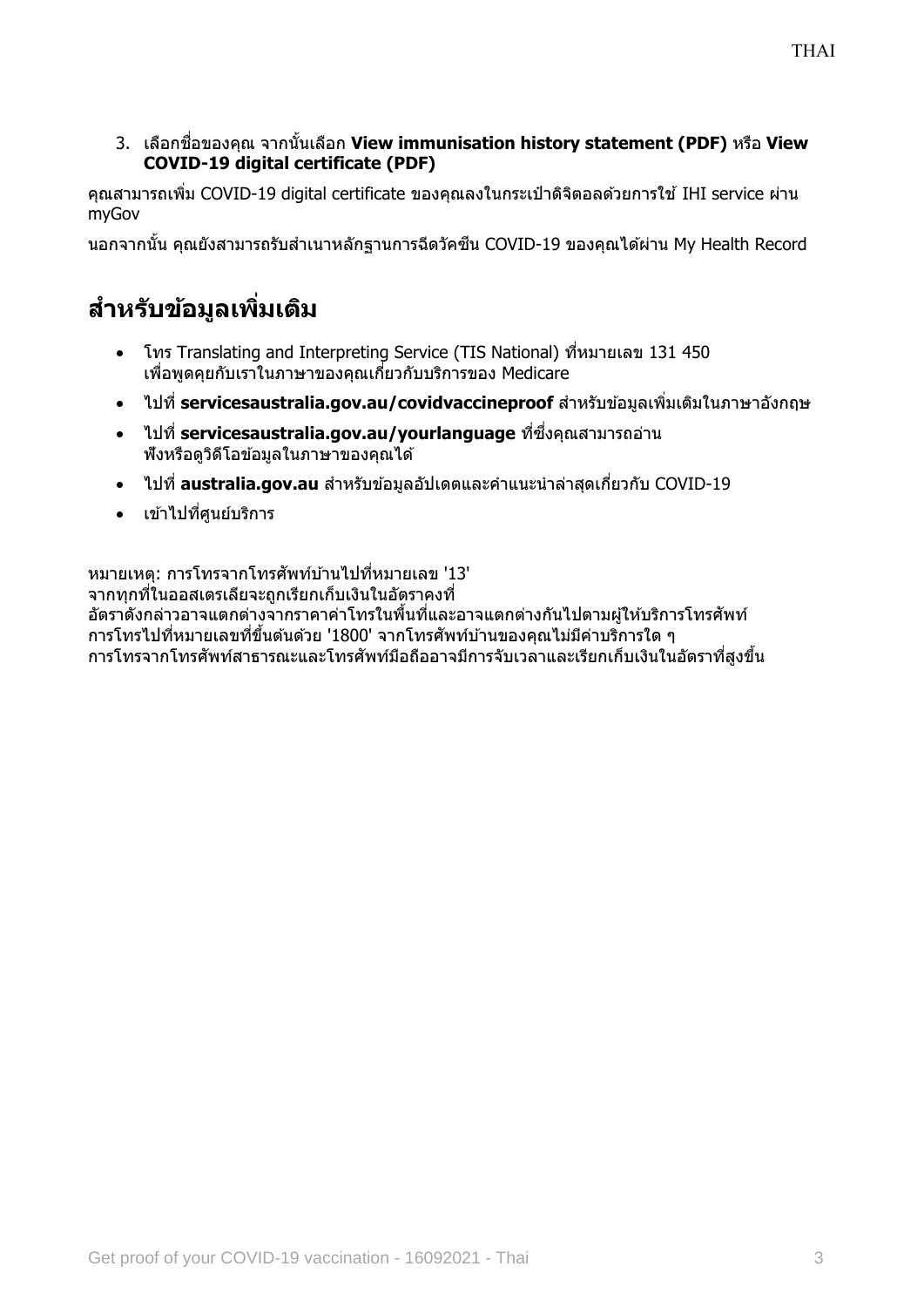3. เลอื กชอื่ ของคณุ จากนัน้ เลอื ก **View immunisation history statement (PDF)** หรือ **View COVID-19 digital certificate (PDF)**

คุณสามารถเพิ่ม COVID-19 digital certificate ของคุณลงในกระเป๋าดิจิตอลด้วยการใช้ IHI service ผ่าน myGov

็นอกจากนั้น คณยังสามารถรับสำเนาหลักฐานการฉีดวัคซีน COVID-19 ของคุณได้ผ่าน My Health Record

# **ส าหรบัขอ้ มลู เพมิ่ เตมิ**

- โทร Translating and Interpreting Service (TIS National) ที่หมายเลข 131 450 เพื่อพูดคุยกับเราในภาษาของคุณเกี่ยวกับบริการของ Medicare
- ึ **ปุ**ปที่ servicesaustralia.gov.au/covidvaccineproof สำหรับข้อมลเพิ่มเติมในภาษาอังกฤษ
- ไปที่ **[servicesaustralia.gov.au/yourlanguage](http://humanservices.gov.au/yourlanguage)** ทซี่ งึ่ คณุ สามารถอา่ น ี่ ฟังหรือดวิดีโอข้อมูลในภาษาของคุณได้
- ึ **ไ**ปที่ **australia.gov.au** สำหรับข้อมลอัปเดตและคำแนะนำล่าสดเกี่ยวกับ COVID-19
- เข้าไปที่ศนย์บริการ

หมายเหตุ: การโทรจากโทรศัพทบ์ า้นไปทหี่ มายเลข '13' จากทุกที่ในออสเตรเลียจะถูกเรียกเก็บเงินในอัตราคงที่ อัตราดังกล่าวอาจแตกต่างจากราคาค่าโทรในพื้นที่และอาจแตกต่างกันไปตามผู้ให้บริการโทรศัพท์ ึการโทรไปที่หมายเลขที่ขึ้นต้นด้วย '1800' จากโทรศัพท์บ้านของคุณไม่มีค่าบริการใด ๆ การโทรจากโทรศัพท์สาธารณะและโทรศัพท์มือถืออาจมีการจับเวลาและเรียกเก็บเงินในอัตราที่สูงขึ้น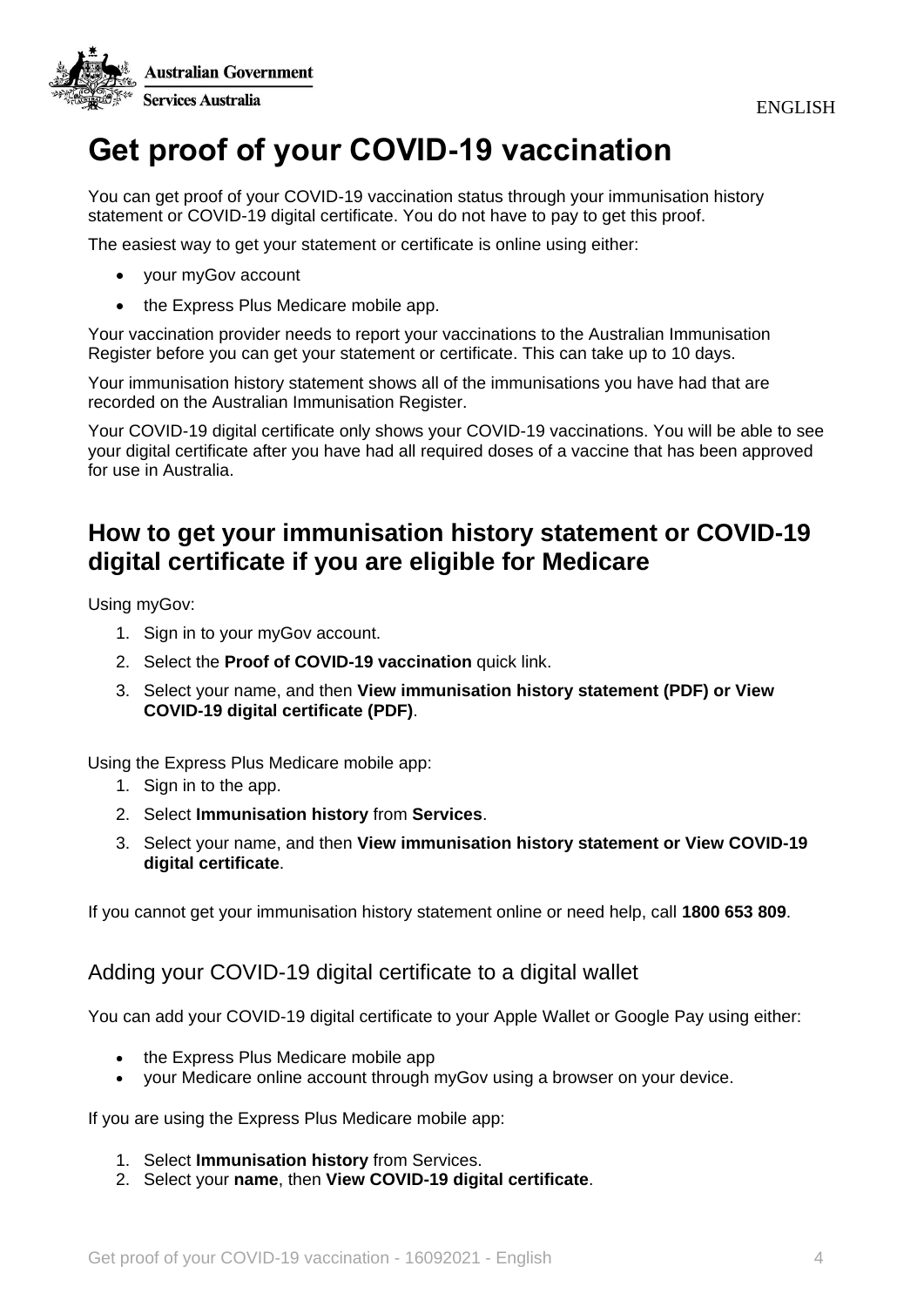



# **Get proof of your COVID-19 vaccination**

You can get proof of your COVID-19 vaccination status through your immunisation history statement or COVID-19 digital certificate. You do not have to pay to get this proof.

The easiest way to get your statement or certificate is online using either:

- vour myGov account
- the Express Plus Medicare mobile app.

Your vaccination provider needs to report your vaccinations to the Australian Immunisation Register before you can get your statement or certificate. This can take up to 10 days.

Your immunisation history statement shows all of the immunisations you have had that are recorded on the Australian Immunisation Register.

Your COVID-19 digital certificate only shows your COVID-19 vaccinations. You will be able to see your digital certificate after you have had all required doses of a vaccine that has been approved for use in Australia.

## **How to get your immunisation history statement or COVID-19 digital certificate if you are eligible for Medicare**

Using myGov:

- 1. Sign in to your myGov account.
- 2. Select the **Proof of COVID-19 vaccination** quick link.
- 3. Select your name, and then **View immunisation history statement (PDF) or View COVID-19 digital certificate (PDF)**.

Using the Express Plus Medicare mobile app:

- 1. Sign in to the app.
- 2. Select **Immunisation history** from **Services**.
- 3. Select your name, and then **View immunisation history statement or View COVID-19 digital certificate**.

If you cannot get your immunisation history statement online or need help, call **1800 653 809**.

#### Adding your COVID-19 digital certificate to a digital wallet

You can add your COVID-19 digital certificate to your Apple Wallet or Google Pay using either:

- the Express Plus Medicare mobile app
- your Medicare online account through myGov using a browser on your device.

If you are using the Express Plus Medicare mobile app:

- 1. Select **Immunisation history** from Services.
- 2. Select your **name**, then **View COVID-19 digital certificate**.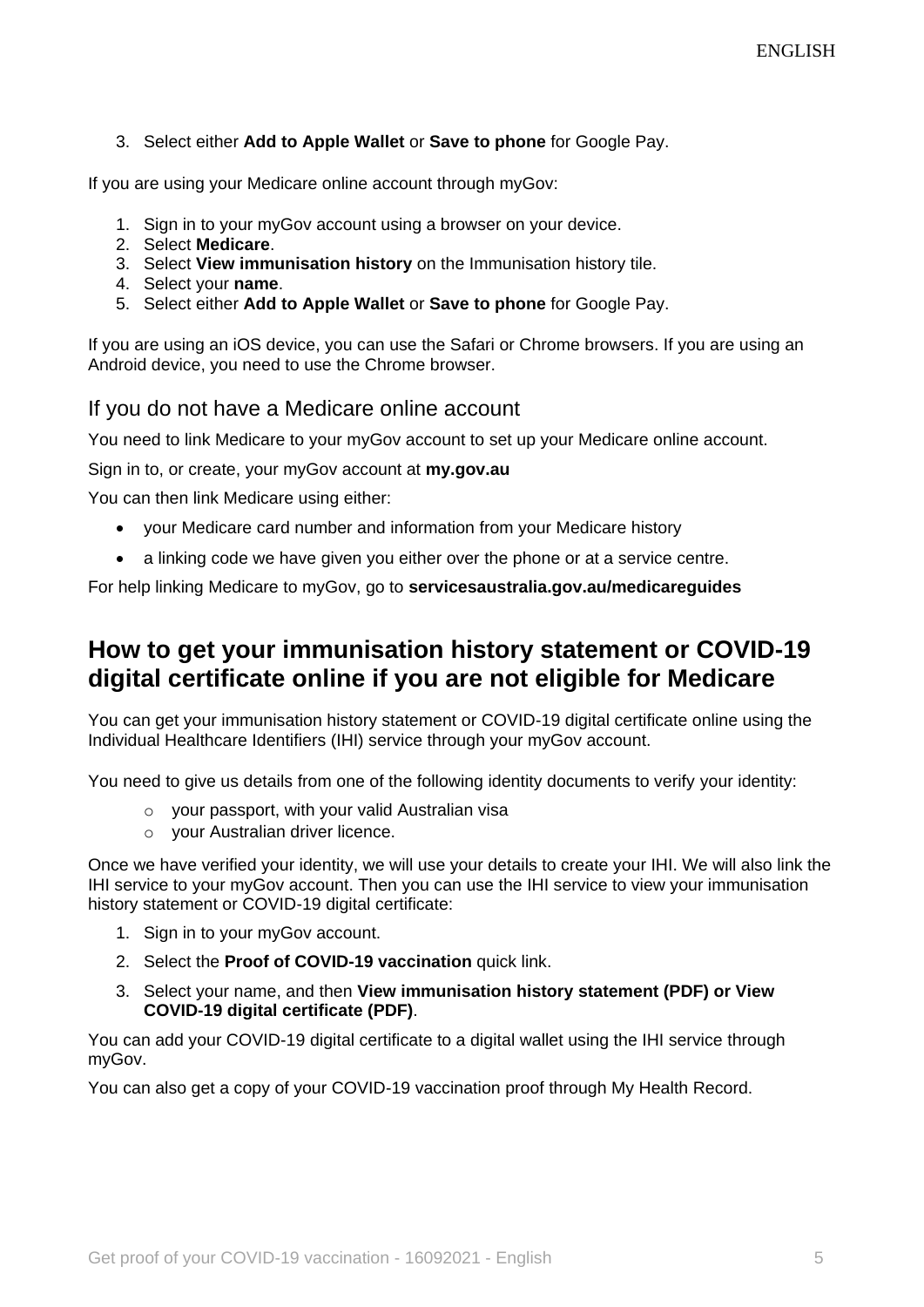#### 3. Select either **Add to Apple Wallet** or **Save to phone** for Google Pay.

If you are using your Medicare online account through myGov:

- 1. Sign in to your myGov account using a browser on your device.
- 2. Select **Medicare**.
- 3. Select **View immunisation history** on the Immunisation history tile.
- 4. Select your **name**.
- 5. Select either **Add to Apple Wallet** or **Save to phone** for Google Pay.

If you are using an iOS device, you can use the Safari or Chrome browsers. If you are using an Android device, you need to use the Chrome browser.

If you do not have a Medicare online account

You need to link Medicare to your myGov account to set up your Medicare online account.

Sign in to, or create, your myGov account at **my.gov.au**

You can then link Medicare using either:

- your Medicare card number and information from your Medicare history
- a linking code we have given you either over the phone or at a service centre.

For help linking Medicare to myGov, go to **servicesaustralia.gov.au/medicareguides**

### **How to get your immunisation history statement or COVID-19 digital certificate online if you are not eligible for Medicare**

You can get your immunisation history statement or COVID-19 digital certificate online using the Individual Healthcare Identifiers (IHI) service through your myGov account.

You need to give us details from one of the following identity documents to verify your identity:

- $\circ$  vour passport, with your valid Australian visa
- o your Australian driver licence.

Once we have verified your identity, we will use your details to create your IHI. We will also link the IHI service to your myGov account. Then you can use the IHI service to view your immunisation history statement or COVID-19 digital certificate:

- 1. Sign in to your myGov account.
- 2. Select the **Proof of COVID-19 vaccination** quick link.
- 3. Select your name, and then **View immunisation history statement (PDF) or View COVID-19 digital certificate (PDF)**.

You can add your COVID-19 digital certificate to a digital wallet using the IHI service through myGov.

You can also get a copy of your COVID-19 vaccination proof through My Health Record.